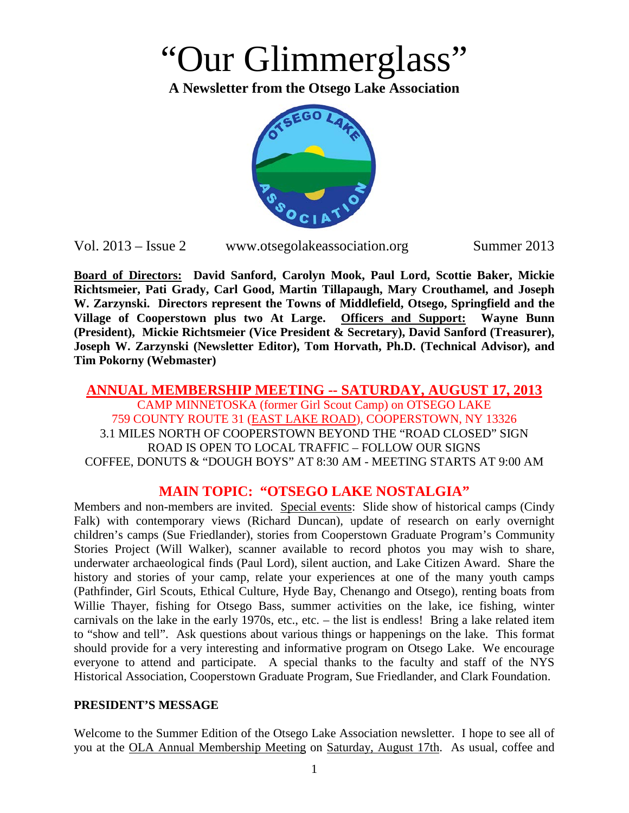# "Our Glimmerglass"

**A Newsletter from the Otsego Lake Association**



Vol. 2013 – Issue 2 www.otsegolakeassociation.org Summer 2013

**Board of Directors: David Sanford, Carolyn Mook, Paul Lord, Scottie Baker, Mickie Richtsmeier, Pati Grady, Carl Good, Martin Tillapaugh, Mary Crouthamel, and Joseph W. Zarzynski. Directors represent the Towns of Middlefield, Otsego, Springfield and the Village of Cooperstown plus two At Large. Officers and Support: Wayne Bunn (President), Mickie Richtsmeier (Vice President & Secretary), David Sanford (Treasurer), Joseph W. Zarzynski (Newsletter Editor), Tom Horvath, Ph.D. (Technical Advisor), and Tim Pokorny (Webmaster)**

#### **ANNUAL MEMBERSHIP MEETING -- SATURDAY, AUGUST 17, 2013** CAMP MINNETOSKA (former Girl Scout Camp) on OTSEGO LAKE 759 COUNTY ROUTE 31 (EAST LAKE ROAD), COOPERSTOWN, NY 13326 3.1 MILES NORTH OF COOPERSTOWN BEYOND THE "ROAD CLOSED" SIGN ROAD IS OPEN TO LOCAL TRAFFIC – FOLLOW OUR SIGNS COFFEE, DONUTS & "DOUGH BOYS" AT 8:30 AM - MEETING STARTS AT 9:00 AM

## **MAIN TOPIC: "OTSEGO LAKE NOSTALGIA"**

Members and non-members are invited. Special events: Slide show of historical camps (Cindy Falk) with contemporary views (Richard Duncan), update of research on early overnight children's camps (Sue Friedlander), stories from Cooperstown Graduate Program's Community Stories Project (Will Walker), scanner available to record photos you may wish to share, underwater archaeological finds (Paul Lord), silent auction, and Lake Citizen Award. Share the history and stories of your camp, relate your experiences at one of the many youth camps (Pathfinder, Girl Scouts, Ethical Culture, Hyde Bay, Chenango and Otsego), renting boats from Willie Thayer, fishing for Otsego Bass, summer activities on the lake, ice fishing, winter carnivals on the lake in the early 1970s, etc., etc. – the list is endless! Bring a lake related item to "show and tell". Ask questions about various things or happenings on the lake. This format should provide for a very interesting and informative program on Otsego Lake. We encourage everyone to attend and participate. A special thanks to the faculty and staff of the NYS Historical Association, Cooperstown Graduate Program, Sue Friedlander, and Clark Foundation.

#### **PRESIDENT'S MESSAGE**

Welcome to the Summer Edition of the Otsego Lake Association newsletter. I hope to see all of you at the OLA Annual Membership Meeting on Saturday, August 17th. As usual, coffee and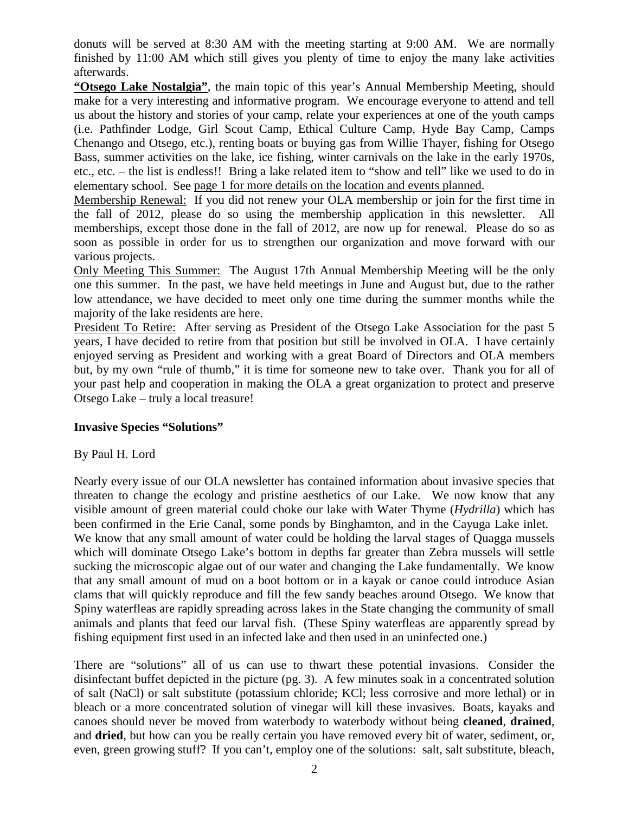donuts will be served at 8:30 AM with the meeting starting at 9:00 AM. We are normally finished by 11:00 AM which still gives you plenty of time to enjoy the many lake activities afterwards.

**"Otsego Lake Nostalgia"**, the main topic of this year's Annual Membership Meeting, should make for a very interesting and informative program. We encourage everyone to attend and tell us about the history and stories of your camp, relate your experiences at one of the youth camps (i.e. Pathfinder Lodge, Girl Scout Camp, Ethical Culture Camp, Hyde Bay Camp, Camps Chenango and Otsego, etc.), renting boats or buying gas from Willie Thayer, fishing for Otsego Bass, summer activities on the lake, ice fishing, winter carnivals on the lake in the early 1970s, etc., etc. – the list is endless!! Bring a lake related item to "show and tell" like we used to do in elementary school. See page 1 for more details on the location and events planned.

Membership Renewal: If you did not renew your OLA membership or join for the first time in the fall of 2012, please do so using the membership application in this newsletter. All memberships, except those done in the fall of 2012, are now up for renewal. Please do so as soon as possible in order for us to strengthen our organization and move forward with our various projects.

Only Meeting This Summer: The August 17th Annual Membership Meeting will be the only one this summer. In the past, we have held meetings in June and August but, due to the rather low attendance, we have decided to meet only one time during the summer months while the majority of the lake residents are here.

President To Retire: After serving as President of the Otsego Lake Association for the past 5 years, I have decided to retire from that position but still be involved in OLA. I have certainly enjoyed serving as President and working with a great Board of Directors and OLA members but, by my own "rule of thumb," it is time for someone new to take over. Thank you for all of your past help and cooperation in making the OLA a great organization to protect and preserve Otsego Lake – truly a local treasure!

#### **Invasive Species "Solutions"**

#### By Paul H. Lord

Nearly every issue of our OLA newsletter has contained information about invasive species that threaten to change the ecology and pristine aesthetics of our Lake. We now know that any visible amount of green material could choke our lake with Water Thyme (*Hydrilla*) which has been confirmed in the Erie Canal, some ponds by Binghamton, and in the Cayuga Lake inlet. We know that any small amount of water could be holding the larval stages of Quagga mussels which will dominate Otsego Lake's bottom in depths far greater than Zebra mussels will settle sucking the microscopic algae out of our water and changing the Lake fundamentally. We know that any small amount of mud on a boot bottom or in a kayak or canoe could introduce Asian clams that will quickly reproduce and fill the few sandy beaches around Otsego. We know that Spiny waterfleas are rapidly spreading across lakes in the State changing the community of small animals and plants that feed our larval fish. (These Spiny waterfleas are apparently spread by fishing equipment first used in an infected lake and then used in an uninfected one.)

There are "solutions" all of us can use to thwart these potential invasions. Consider the disinfectant buffet depicted in the picture (pg. 3). A few minutes soak in a concentrated solution of salt (NaCl) or salt substitute (potassium chloride; KCl; less corrosive and more lethal) or in bleach or a more concentrated solution of vinegar will kill these invasives. Boats, kayaks and canoes should never be moved from waterbody to waterbody without being **cleaned**, **drained**, and **dried**, but how can you be really certain you have removed every bit of water, sediment, or, even, green growing stuff? If you can't, employ one of the solutions: salt, salt substitute, bleach,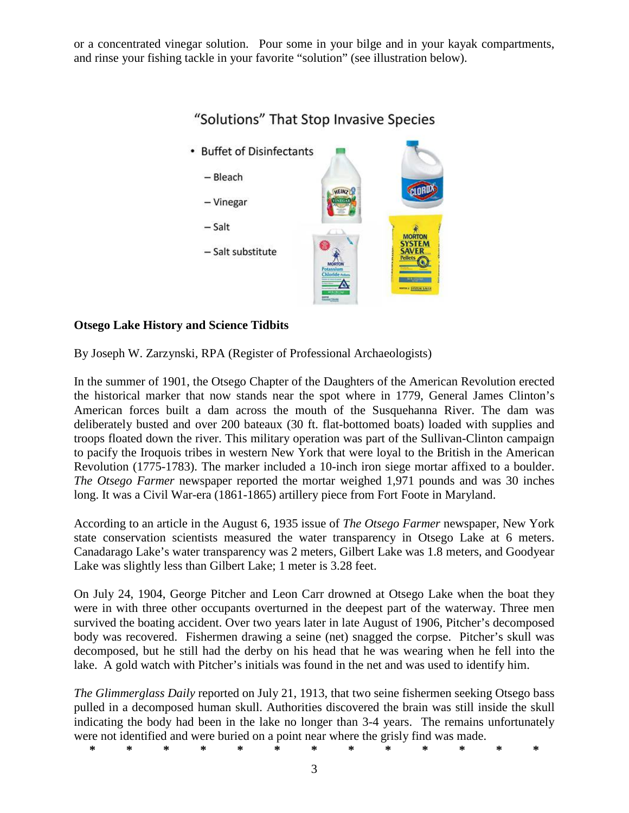or a concentrated vinegar solution. Pour some in your bilge and in your kayak compartments, and rinse your fishing tackle in your favorite "solution" (see illustration below).



# "Solutions" That Stop Invasive Species

#### **Otsego Lake History and Science Tidbits**

By Joseph W. Zarzynski, RPA (Register of Professional Archaeologists)

In the summer of 1901, the Otsego Chapter of the Daughters of the American Revolution erected the historical marker that now stands near the spot where in 1779, General James Clinton's American forces built a dam across the mouth of the Susquehanna River. The dam was deliberately busted and over 200 bateaux (30 ft. flat-bottomed boats) loaded with supplies and troops floated down the river. This military operation was part of the Sullivan-Clinton campaign to pacify the Iroquois tribes in western New York that were loyal to the British in the American Revolution (1775-1783). The marker included a 10-inch iron siege mortar affixed to a boulder. *The Otsego Farmer* newspaper reported the mortar weighed 1,971 pounds and was 30 inches long. It was a Civil War-era (1861-1865) artillery piece from Fort Foote in Maryland.

According to an article in the August 6, 1935 issue of *The Otsego Farmer* newspaper, New York state conservation scientists measured the water transparency in Otsego Lake at 6 meters. Canadarago Lake's water transparency was 2 meters, Gilbert Lake was 1.8 meters, and Goodyear Lake was slightly less than Gilbert Lake; 1 meter is 3.28 feet.

On July 24, 1904, George Pitcher and Leon Carr drowned at Otsego Lake when the boat they were in with three other occupants overturned in the deepest part of the waterway. Three men survived the boating accident. Over two years later in late August of 1906, Pitcher's decomposed body was recovered. Fishermen drawing a seine (net) snagged the corpse. Pitcher's skull was decomposed, but he still had the derby on his head that he was wearing when he fell into the lake. A gold watch with Pitcher's initials was found in the net and was used to identify him.

*The Glimmerglass Daily* reported on July 21, 1913, that two seine fishermen seeking Otsego bass pulled in a decomposed human skull. Authorities discovered the brain was still inside the skull indicating the body had been in the lake no longer than 3-4 years. The remains unfortunately were not identified and were buried on a point near where the grisly find was made.

**\* \* \* \* \* \* \* \* \* \* \* \* \***